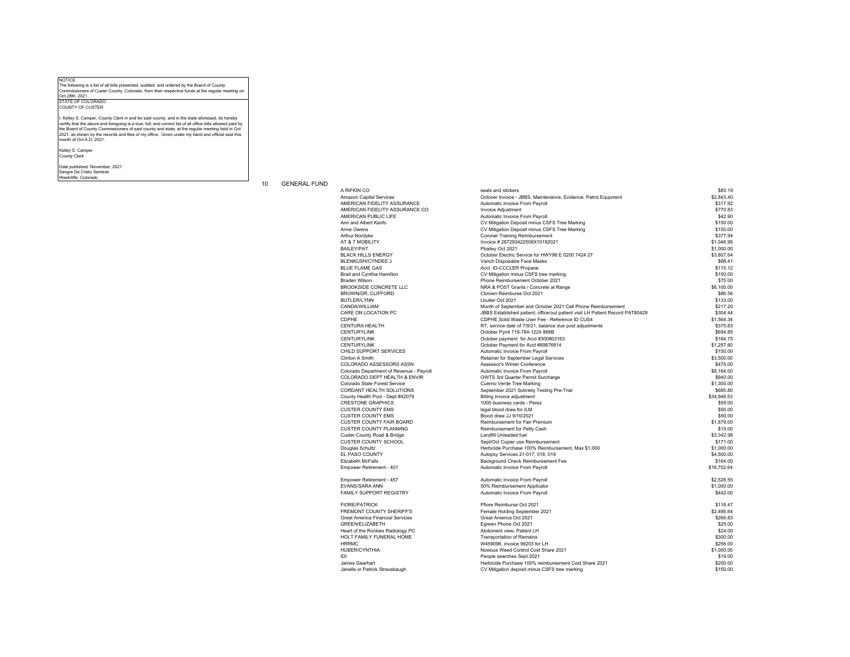NOTICE The following is a list of all bills presented, audited, and ordered by the Board of County Commissioners of Custer County, Colorado, from their respective funds at the regular meeting on Oct 28th, 2021.

STATE OF COLORADO COUNTY OF CUSTER

I, Kelley S. Camper, County Clerk in and for said county, and in the state aforesaid, do hereby certify that the above and foregoing is a true, full, and correct list of all office bills allowed paid by<br>the Board of County Commissioners of said county and state, at the regular meeting held in Oct<br>2021, as shown by th month of Oct A.D. 2021.

Kelley S. Camper County Clerk

Date published: November, 2021

Sangre De Cristo Sentinel Westcliffe, Colorado

## 10 GENERAL FUND

| A RIFKIN CO                              | seals and stickers                                                            | \$83.19     |
|------------------------------------------|-------------------------------------------------------------------------------|-------------|
| Amazon Capital Services                  | Octover Invoice - JBBS, Maintenance, Evidence, Patrol Equpment                | \$2,843.40  |
| AMERICAN FIDELITY ASSURANCE              | Automatic Invoice From Payroll                                                | \$317.92    |
| AMERICAN FIDELITY ASSURANCE CO           | Invoice Adjustment                                                            | \$770.83    |
| AMERICAN PUBLIC LIFE                     | Automatic Invoice From Payroll                                                | \$42.90     |
| Ann and Albert Kanfo                     | CV Mitigation Deposit minus CSFS Tree Marking                                 | \$150.00    |
| Anne Owens                               | CV Mitigation Deposit minus CSFS Tree Marking                                 | \$150.00    |
| Arthur Nordyke                           | <b>Coroner Training Reimbursement</b>                                         | \$377.94    |
| AT & T MOBILITY                          | Invoice #287293422508X10192021                                                | \$1,046.99  |
| <b>BAILEY/PAT</b>                        | Pbailey Oct 2021                                                              | \$1,000.00  |
| <b>BLACK HILLS ENERGY</b>                | October Electric Service for HWY96 E 0200 7424 27                             | \$3,807.64  |
| BLENKUSH/CYNDEE J                        | Vanch Disposable Face Masks                                                   | \$66.41     |
| <b>BLUE FLAME GAS</b>                    | Acct. ID-CCCLER Propane                                                       | \$115.12    |
| Brad and Cynthia Hamilton                | CV Mitigation minus CSFS tree marking                                         | \$150.00    |
| <b>Braden Wilson</b>                     | Phone Reimbursement October 2021                                              | \$75.00     |
| <b>BROOKSIDE CONCRETE LLC</b>            | NRA & POST Grants / Concrete at Range                                         | \$6,100.00  |
| BROWN/DR. CLIFFORD                       | Cbrown Reimburse Oct 2021                                                     | \$86.56     |
| <b>BUTLER/LYNN</b>                       | Lbutler Oct 2021                                                              | \$133.00    |
| CANDA/WILLIAM                            | Month of September and October 2021 Cell Phone Reimbursement                  | \$217.20    |
| CARE ON LOCATION PC                      | JBBS Established patient; office/out patient visit LH Patient Record PAT80429 | \$304.44    |
| CDPHE                                    | CDPHE Solid Waste User Fee - Reference ID CUS4                                | \$1.564.34  |
| <b>CENTURA HEALTH</b>                    | RT, service date of 7/9/21, balance due post adjustments                      | \$375.83    |
| <b>CENTURYLINK</b>                       | October Pymt 719-784-1224 866B                                                | \$694.85    |
| <b>CENTURYLINK</b>                       | October payment for Acct #300803163                                           | \$164.75    |
| <b>CENTURYLINK</b>                       | October Payment for Acct #89876814                                            | \$1,257.60  |
| CHILD SUPPORT SERVICES                   |                                                                               | \$150.00    |
| Clinton A Smith                          | Automatic Invoice From Payroll                                                | \$3,500.00  |
| COLORADO ASSESSORS ASSN                  | Retainer for September Legal Services<br>Assessor's Winter Conference         | \$475.00    |
|                                          |                                                                               |             |
| Colorado Department of Revenue - Payroll | Automatic Invoice From Payroll                                                | \$8,164.00  |
| COLORADO DEPT HEALTH & ENVIR             | OWTS 3rd Quarter Permit Surcharge                                             | \$940.00    |
| Colorado State Forest Service            | Cuerno Verde Tree Marking                                                     | \$1,300.00  |
| CORDANT HEALTH SOLUTIONS                 | September 2021 Sobriety Testing Pre-Trial                                     | \$685.80    |
| County Health Pool - Dept #42079         | Billing invoice adjustment                                                    | \$34.946.53 |
| <b>CRESTONE GRAPHICS</b>                 | 1000 business cards - Perez                                                   | \$55.00     |
| <b>CUSTER COUNTY EMS</b>                 | legal blood draw for ILM                                                      | \$50.00     |
| <b>CUSTER COUNTY EMS</b>                 | Blood draw JJ 9/10/2021                                                       | \$50.00     |
| <b>CUSTER COUNTY FAIR BOARD</b>          | Reimbursement for Fair Premium                                                | \$1,879.00  |
| <b>CUSTER COUNTY PLANNING</b>            | Reimbursement for Petty Cash                                                  | \$15.00     |
| Custer County Road & Bridge              | Landfill Unleaded fuel                                                        | \$3,342.98  |
| CUSTER COUNTY SCHOOL                     | Sept/Oct Copier use Reimbursement                                             | \$171.00    |
| Douglas Schultz                          | Herbicide Purchase 100% Reimbursement, Max \$1,000                            | \$1,000.00  |
| EL PASO COUNTY                           | Autopsy Services 21-017, 018, 019                                             | \$4,500.00  |
| Elizabeth McFalls                        | Background Check Reimbursement Fee                                            | \$164.00    |
| Empower Retirement - 401                 | Automatic Invoice From Payroll                                                | \$16,702.64 |
| Empower Retirement - 457                 | Automatic Invoice From Payroll                                                | \$2,528.55  |
| <b>EVANS/SARA ANN</b>                    | 50% Reimbursement Applicator                                                  | \$1,000.00  |
| FAMILY SUPPORT REGISTRY                  | Automatic Invoice From Payroll                                                | \$442.00    |
| <b>FIORE/PATRICK</b>                     | Pfiore Reimburse Oct 2021                                                     | \$118.47    |
| <b>FREMONT COUNTY SHERIFF'S</b>          | Female Holding September 2021                                                 | \$2,495.64  |
| <b>Great America Financial Services</b>  | Great America Oct 2021                                                        | \$266.83    |
| GREEN/ELIZABETH                          | Egreen Phone Oct 2021                                                         | \$25.00     |
| Heart of the Rockies Radiology PC        | Abdoment view, Patient LH                                                     | \$24.00     |
| HOLT FAMILY FUNERAL HOME                 | <b>Transportation of Remains</b>                                              | \$300.00    |
| <b>HRRMC</b>                             | W459096, invoice 99203 for LH                                                 | \$256.00    |
| <b>HUBER/CYNTHIA</b>                     | Noxious Weed Control Cost Share 2021                                          | \$1,000.00  |
| IDI                                      | People searches Sept 2021                                                     | \$19.00     |
| James Gearhart                           | Herbicide Purchase 100% reimbursement Cost Share 2021                         | \$200.00    |
| Janelle or Patrick Strausbaugh           | CV Mitigation deposit minus CSFS tree marking                                 | \$150.00    |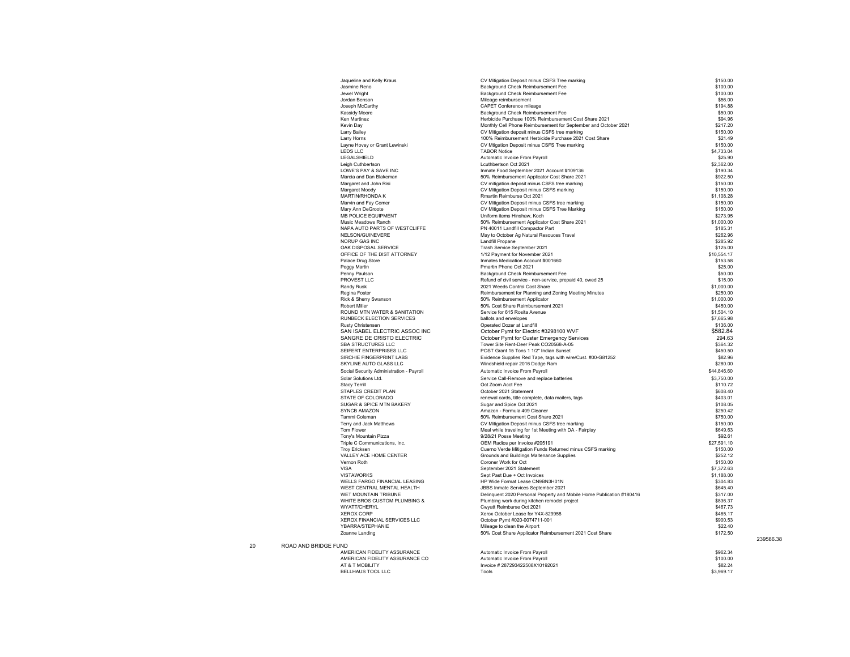| Jaqueline and Kelly Kraus                            | CV Mitigation Deposit minus CSFS Tree marking                                                            | \$150.00               |
|------------------------------------------------------|----------------------------------------------------------------------------------------------------------|------------------------|
| Jasmine Reno                                         | Background Check Reimbursement Fee                                                                       | \$100.00               |
| Jewel Wright                                         | Background Check Reimbursement Fee                                                                       | \$100.00               |
| Jordan Benson                                        | Mileage reimbursement                                                                                    | \$56.00                |
| Joseph McCarthy<br>Kassidy Moore                     | CAPET Conference mileage<br>Background Check Reimbursement Fee                                           | \$194.88<br>\$50.00    |
| Ken Martinez                                         | Herbicide Purchase 100% Reimbursement Cost Share 2021                                                    | \$94.96                |
| Kevin Day                                            | Monthly Cell Phone Reimbursement for September and October 2021                                          | \$217.20               |
| Larry Bailey                                         | CV Mitigation deposit minus CSFS tree marking                                                            | \$150.00               |
| Larry Horns                                          | 100% Reimbursement Herbicide Purchase 2021 Cost Share                                                    | \$21.49                |
| Layne Hovey or Grant Lewinski                        | CV Mtigation Deposit minus CSFS Tree marking                                                             | \$150.00               |
| <b>LEDS LLC</b>                                      | <b>TABOR Notice</b>                                                                                      | \$4,733.04             |
| LEGALSHIELD<br>Leigh Cuthbertson                     | Automatic Invoice From Payroll<br>Lcuthbertson Oct 2021                                                  | \$25.90<br>\$2,362.00  |
| LOWE'S PAY & SAVE INC                                | Inmate Food September 2021 Account #109136                                                               | \$190.34               |
| Marcia and Dan Blakeman                              | 50% Reimbursement Applicator Cost Share 2021                                                             | \$922.50               |
| Margaret and John Risi                               | CV mitigation deposit minus CSFS tree marking                                                            | \$150.00               |
| Margaret Moody                                       | CV Mitigation Deposit minus CSFS marking                                                                 | \$150.00               |
| MARTIN/RHONDA K                                      | Rmartin Reimburse Oct 2021                                                                               | \$1,108.28             |
| Marvin and Fay Comer                                 | CV Mitigation Deposit minus CSFS tree marking                                                            | \$150.00               |
| Mary Ann DeGroote                                    | CV Mitigation Deposit minus CSFS Tree Marking                                                            | \$150.00               |
| MB POLICE EQUIPMENT                                  | Uniform items Hinshaw, Koch                                                                              | \$273.95               |
| Music Meadows Ranch<br>NAPA AUTO PARTS OF WESTCLIFFE | 50% Reimbursement Applicator Cost Share 2021<br>PN 40011 Landfill Compactor Part                         | \$1,000.00<br>\$185.31 |
| NELSON/GUINEVERE                                     | May to October Ag Natural Resouces Travel                                                                | \$262.96               |
| NORUP GAS INC                                        | Landfill Propane                                                                                         | \$285.92               |
| OAK DISPOSAL SERVICE                                 | Trash Service September 2021                                                                             | \$125.00               |
| OFFICE OF THE DIST ATTORNEY                          | 1/12 Payment for November 2021                                                                           | \$10.554.17            |
| Palace Drug Store                                    | Inmates Medication Account #001660                                                                       | \$153.58               |
| Peggy Martin                                         | Pmartin Phone Oct 2021                                                                                   | \$25.00                |
| Penny Paulson                                        | Background Check Reimbursement Fee                                                                       | \$50.00                |
| PROVEST LLC                                          | Refund of civil service - non-service, prepaid 40, owed 25                                               | \$15.00                |
| Randy Rusk<br>Regina Foster                          | 2021 Weeds Control Cost Share<br>Reimbursement for Planning and Zoning Meeting Minutes                   | \$1,000.00<br>\$250.00 |
| Rick & Sherry Swanson                                | 50% Reimbursement Applicator                                                                             | \$1,000.00             |
| <b>Robert Miller</b>                                 | 50% Cost Share Reimbursement 2021                                                                        | \$450.00               |
| ROUND MTN WATER & SANITATION                         | Service for 615 Rosita Avenue                                                                            | \$1,504.10             |
| RUNBECK ELECTION SERVICES                            | ballots and envelopes                                                                                    | \$7,665.98             |
| Rusty Christensen                                    | Operated Dozer at Landfill                                                                               | \$136.00               |
| SAN ISABEL ELECTRIC ASSOC INC                        | October Pymt for Electric #3298100 WVF                                                                   | \$582.84               |
| SANGRE DE CRISTO ELECTRIC                            | October Pymt for Custer Emergency Services                                                               | 294.63                 |
| SBA STRUCTURES LLC<br>SEIFERT ENTERPRISES LLC        | Tower Site Rent-Deer Peak CO20568-A-05                                                                   | \$364.32<br>\$450.50   |
| SIRCHIE FINGERPRINT LABS                             | POST Grant 15 Tons 1 1/2" Indian Sunset<br>Evidence Supplies Red Tape, tags with wire/Cust. #00-G81252   | \$82.96                |
| SKYLINE AUTO GLASS LLC                               | Windshield repair 2016 Dodge Ram                                                                         | \$280.00               |
| Social Security Administration - Payroll             | Automatic Invoice From Payroll                                                                           | \$44,846.60            |
| Solar Solutions Ltd.                                 | Service Call-Remove and replace batteries                                                                | \$3,750.00             |
| <b>Stacy Terrill</b>                                 | Oct Zoom Acct Fee                                                                                        | \$110.72               |
| STAPLES CREDIT PLAN                                  | October 2021 Statement                                                                                   | \$608.40               |
| STATE OF COLORADO                                    | renewal cards, title complete, data mailers, tags                                                        | \$403.01               |
| SUGAR & SPICE MTN BAKERY                             | Sugar and Spice Oct 2021                                                                                 | \$108.05               |
| SYNCB AMAZON                                         | Amazon - Formula 409 Cleaner                                                                             | \$250.42               |
| Tammi Coleman                                        | 50% Reimbursement Cost Share 2021                                                                        | \$750.00               |
| Terry and Jack Matthews<br><b>Tom Flower</b>         | CV Mitigation Deposit minus CSFS tree marking<br>Meal while traveling for 1st Meeting with DA - Fairplay | \$150.00<br>\$649.63   |
| Tony's Mountain Pizza                                | 9/28/21 Posse Meeting                                                                                    | \$92.61                |
| Triple C Communications, Inc.                        | OEM Radios per Invoice #205191                                                                           | \$27,591.10            |
| <b>Trov Ericksen</b>                                 | Cuerno Verde Mitigation Funds Returned minus CSFS marking                                                | \$150.00               |
| VALLEY ACE HOME CENTER                               | Grounds and Buildings Maitenance Supplies                                                                | \$252.12               |
| Vernon Roth                                          | Coroner Work for Oct                                                                                     | \$150.00               |
| VISA                                                 | September 2021 Statement                                                                                 | \$7,372.63             |
| <b>VISTAWORKS</b><br>WELLS FARGO FINANCIAL LEASING   | Sept Past Due + Oct Invoices                                                                             | \$1,188.00<br>\$304.83 |
| WEST CENTRAL MENTAL HEALTH                           | HP Wide Format Lease CN9BN3H01N<br>JBBS Inmate Services September 2021                                   | \$645.40               |
| WET MOUNTAIN TRIBUNE                                 | Delinquent 2020 Personal Property and Mobile Home Publication #180416                                    | \$317.00               |
| WHITE BROS CUSTOM PLUMBING &                         | Plumbing work during kitchen remodel project                                                             | \$836.37               |
| WYATT/CHERYL                                         | Cwyatt Reimburse Oct 2021                                                                                | \$467.73               |
| <b>XEROX CORP</b>                                    | Xerox October Lease for Y4X-829958                                                                       | \$465.17               |
| XEROX FINANCIAL SERVICES LLC                         | October Pymt #020-0074711-001                                                                            | \$900.53               |
| YBARRA/STEPHANIE                                     | Mileage to clean the Airport                                                                             | \$22.40                |
| Zoanne Landing                                       | 50% Cost Share Applicator Reimbursement 2021 Cost Share                                                  | \$172.50               |
| <b>JND</b>                                           |                                                                                                          |                        |
| AMERICAN FIDELITY ASSURANCE                          | Automatic Invoice From Payroll                                                                           | \$962.34               |
| AMERICAN FIDELITY ASSURANCE CO                       | Automatic Invoice From Payroll                                                                           | \$100.00               |
| AT & T MOBILITY                                      | Invoice #287293422508X10192021                                                                           | \$82.24                |
| <b>BELLHAUS TOOL LLC</b>                             | Tools                                                                                                    | \$3,969.17             |

239586.38

20 ROAD AND BRIDGE FUN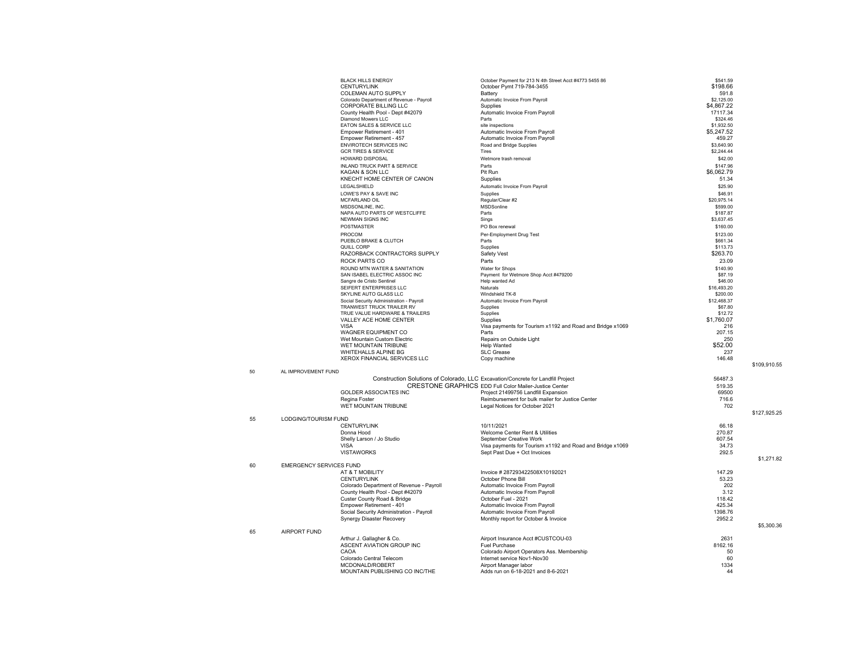|    |                                | <b>BLACK HILLS ENERGY</b>                                             | October Payment for 213 N 4th Street Acct #4773 5455 86                                       | \$541.59               |              |
|----|--------------------------------|-----------------------------------------------------------------------|-----------------------------------------------------------------------------------------------|------------------------|--------------|
|    |                                | <b>CENTURYLINK</b><br>COLEMAN AUTO SUPPLY                             | October Pymt 719-784-3455<br>Battery                                                          | \$198.66<br>591.8      |              |
|    |                                | Colorado Department of Revenue - Pavroll                              | Automatic Invoice From Payroll                                                                | \$2,125.00             |              |
|    |                                | CORPORATE BILLING LLC                                                 | Supplies                                                                                      | \$4,867.22             |              |
|    |                                | County Health Pool - Dept #42079<br>Diamond Mowers LLC                | Automatic Invoice From Payroll<br>Parts                                                       | 17117.34<br>\$324.46   |              |
|    |                                | EATON SALES & SERVICE LLC                                             | site inspections                                                                              | \$1,932.50             |              |
|    |                                | Empower Retirement - 401<br>Empower Retirement - 457                  | Automatic Invoice From Payroll<br>Automatic Invoice From Pavroll                              | \$5,247.52<br>459.27   |              |
|    |                                | ENVIROTECH SERVICES INC                                               | Road and Bridge Supplies                                                                      | \$3,640.90             |              |
|    |                                | <b>GCR TIRES &amp; SERVICE</b>                                        | Tires                                                                                         | \$2,244.44             |              |
|    |                                | <b>HOWARD DISPOSAL</b>                                                | Wetmore trash removal                                                                         | \$42.00                |              |
|    |                                | INLAND TRUCK PART & SERVICE                                           | Parts                                                                                         | \$147.96               |              |
|    |                                | KAGAN & SON LLC<br>KNECHT HOME CENTER OF CANON                        | Pit Run<br>Supplies                                                                           | \$6,062.79<br>51.34    |              |
|    |                                | LEGALSHIELD                                                           | Automatic Invoice From Payroll                                                                | \$25.90                |              |
|    |                                | LOWE'S PAY & SAVE INC                                                 | Supplies                                                                                      | \$46.91                |              |
|    |                                | MCFARLAND OIL                                                         | Regular/Clear #2                                                                              | \$20,975.14            |              |
|    |                                | MSDSONLINE, INC.<br>NAPA AUTO PARTS OF WESTCLIFFE                     | MSDSonline<br>Parts                                                                           | \$599.00<br>\$187.87   |              |
|    |                                | <b>NEWMAN SIGNS INC</b>                                               | Sings                                                                                         | \$3,637.45             |              |
|    |                                | <b>POSTMASTER</b>                                                     | PO Box renewal                                                                                | \$160.00               |              |
|    |                                | PROCOM                                                                | Per-Employment Drug Test                                                                      | \$123.00               |              |
|    |                                | PUEBLO BRAKE & CLUTCH<br>QUILL CORP                                   | Parts<br>Supplies                                                                             | \$661.34<br>\$113.73   |              |
|    |                                | RAZORBACK CONTRACTORS SUPPLY                                          | Safety Vest                                                                                   | \$263.70               |              |
|    |                                | ROCK PARTS CO                                                         | Parts                                                                                         | 23.09                  |              |
|    |                                | ROUND MTN WATER & SANITATION                                          | Water for Shops                                                                               | \$140.90               |              |
|    |                                | SAN ISABEL ELECTRIC ASSOC INC<br>Sangre de Cristo Sentinel            | Payment for Wetmore Shop Acct #479200<br>Help wanted Ad                                       | \$87.19<br>\$46.00     |              |
|    |                                | SEIFERT ENTERPRISES LLC                                               | Naturals                                                                                      | \$16,493.20            |              |
|    |                                | SKYLINE AUTO GLASS LLC                                                | Windshield TK-8                                                                               | \$200.00               |              |
|    |                                | Social Security Administration - Payroll<br>TRANWEST TRUCK TRAILER RV | Automatic Invoice From Payroll<br>Supplies                                                    | \$12,468.37<br>\$67.80 |              |
|    |                                | TRUE VALUE HARDWARE & TRAILERS                                        | Supplies                                                                                      | \$12.72                |              |
|    |                                | VALLEY ACE HOME CENTER                                                | Supplies                                                                                      | \$1,760.07             |              |
|    |                                | <b>VISA</b><br>WAGNER EQUIPMENT CO                                    | Visa payments for Tourism x1192 and Road and Bridge x1069<br>Parts                            | 216<br>207.15          |              |
|    |                                | Wet Mountain Custom Electric                                          | Repairs on Outside Light                                                                      | 250                    |              |
|    |                                | WET MOUNTAIN TRIBUNE                                                  | <b>Help Wanted</b>                                                                            | \$52.00                |              |
|    |                                | WHITEHALLS ALPINE BG<br>XEROX FINANCIAL SERVICES LLC                  | <b>SLC Grease</b>                                                                             | 237<br>146.48          |              |
|    |                                |                                                                       | Copy machine                                                                                  |                        | \$109.910.55 |
| 50 | AL IMPROVEMENT FUND            |                                                                       |                                                                                               |                        |              |
|    |                                |                                                                       | Construction Solutions of Colorado, LLC Excavation/Concrete for Landfill Project              | 56487.3                |              |
|    |                                | <b>GOLDER ASSOCIATES INC</b>                                          | CRESTONE GRAPHICS EDD Full Color Mailer-Justice Center<br>Project 21499756 Landfill Expansion | 519.35<br>69500        |              |
|    |                                | Regina Foster                                                         | Reimbursement for bulk mailer for Justice Center                                              | 716.6                  |              |
|    |                                | WET MOUNTAIN TRIBUNE                                                  | Legal Notices for October 2021                                                                | 702                    |              |
| 55 | LODGING/TOURISM FUND           |                                                                       |                                                                                               |                        | \$127,925.25 |
|    |                                | <b>CENTURYLINK</b>                                                    | 10/11/2021                                                                                    | 66.18                  |              |
|    |                                | Donna Hood                                                            | Welcome Center Rent & Utilities                                                               | 270.87                 |              |
|    |                                | Shelly Larson / Jo Studio                                             | September Creative Work                                                                       | 607.54                 |              |
|    |                                | <b>VISA</b><br><b>VISTAWORKS</b>                                      | Visa payments for Tourism x1192 and Road and Bridge x1069<br>Sept Past Due + Oct Invoices     | 34.73<br>292.5         |              |
|    |                                |                                                                       |                                                                                               |                        | \$1,271.82   |
| 60 | <b>EMERGENCY SERVICES FUND</b> |                                                                       |                                                                                               |                        |              |
|    |                                | AT & T MOBILITY<br><b>CENTURYLINK</b>                                 | Invoice #287293422508X10192021<br>October Phone Bill                                          | 147.29<br>53.23        |              |
|    |                                | Colorado Department of Revenue - Payroll                              | Automatic Invoice From Payroll                                                                | 202                    |              |
|    |                                | County Health Pool - Dept #42079                                      | Automatic Invoice From Payroll                                                                | 3.12                   |              |
|    |                                | Custer County Road & Bridge                                           | October Fuel - 2021                                                                           | 118.42                 |              |
|    |                                | Empower Retirement - 401<br>Social Security Administration - Payroll  | Automatic Invoice From Payroll<br>Automatic Invoice From Payroll                              | 425.34<br>1398.76      |              |
|    |                                | Synergy Disaster Recovery                                             | Monthly report for October & Invoice                                                          | 2952.2                 |              |
|    |                                |                                                                       |                                                                                               |                        | \$5,300.36   |
| 65 | <b>AIRPORT FUND</b>            | Arthur J. Gallagher & Co.                                             | Airport Insurance Acct #CUSTCOU-03                                                            | 2631                   |              |
|    |                                | ASCENT AVIATION GROUP INC                                             | Fuel Purchase                                                                                 | 8162.16                |              |
|    |                                | CAOA                                                                  | Colorado Airport Operators Ass. Membership                                                    | 50                     |              |
|    |                                | Colorado Central Telecom<br>MCDONALD/ROBERT                           | Internet service Nov1-Nov30<br>Airport Manager labor                                          | 60<br>1334             |              |
|    |                                | MOUNTAIN PUBLISHING CO INC/THE                                        | Adds run on 6-18-2021 and 8-6-2021                                                            | 44                     |              |
|    |                                |                                                                       |                                                                                               |                        |              |

50

65